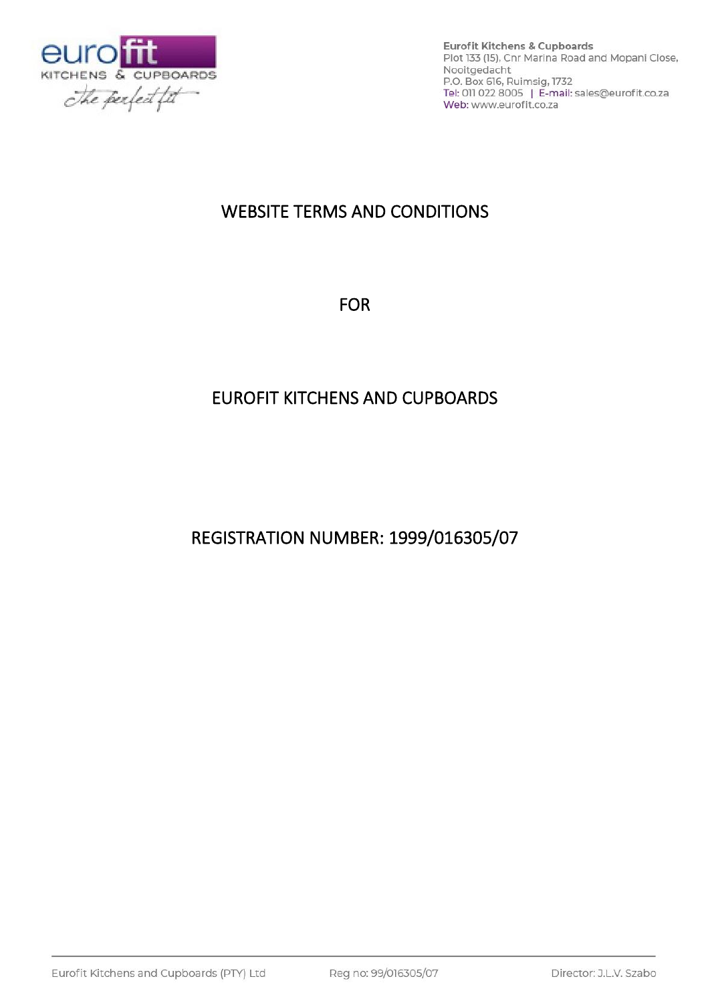

# WEBSITE TERMS AND CONDITIONS

FOR

# EUROFIT KITCHENS AND CUPBOARDS

REGISTRATION NUMBER: 1999/016305/07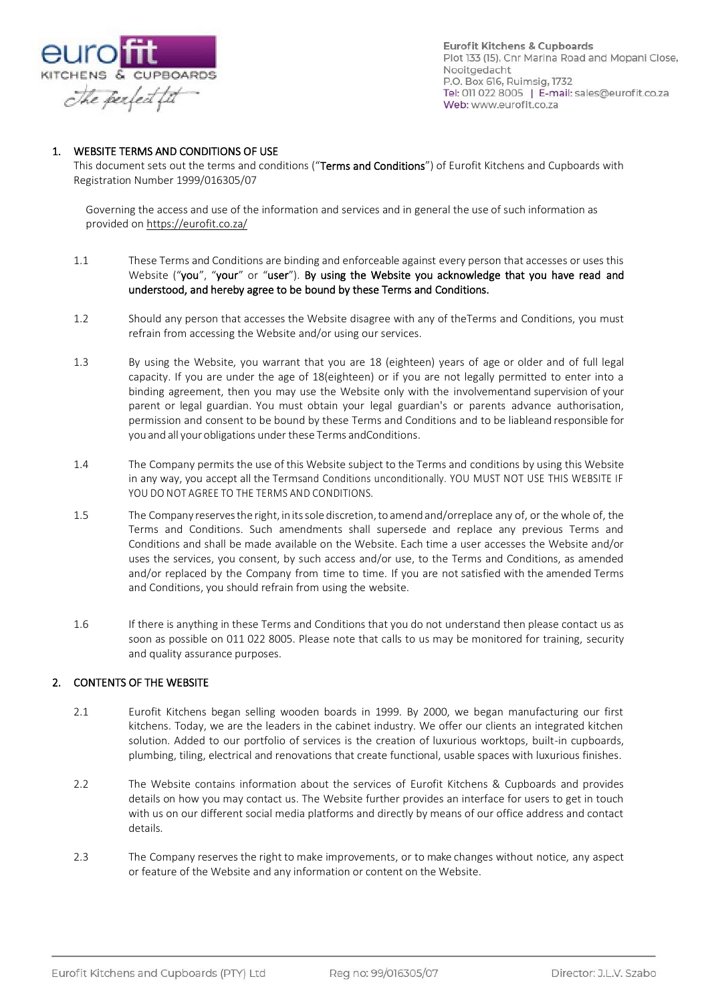

## 1. WEBSITE TERMS AND CONDITIONS OF USE

This document sets out the terms and conditions ("Terms and Conditions") of Eurofit Kitchens and Cupboards with Registration Number 1999/016305/07

Governing the access and use of the information and services and in general the use of such information as provided o[n https://eurofit.co.za/](https://eurofit.co.za/)

- 1.1 These Terms and Conditions are binding and enforceable against every person that accesses or uses this Website ("you", "your" or "user"). By using the Website you acknowledge that you have read and understood, and hereby agree to be bound by these Terms and Conditions.
- 1.2 Should any person that accesses the Website disagree with any of theTerms and Conditions, you must refrain from accessing the Website and/or using our services.
- 1.3 By using the Website, you warrant that you are 18 (eighteen) years of age or older and of full legal capacity. If you are under the age of 18(eighteen) or if you are not legally permitted to enter into a binding agreement, then you may use the Website only with the involvementand supervision of your parent or legal guardian. You must obtain your legal guardian's or parents advance authorisation, permission and consent to be bound by these Terms and Conditions and to be liableand responsible for you and all your obligations under these Terms andConditions.
- 1.4 The Company permits the use of this Website subject to the Terms and conditions by using this Website in any way, you accept all the Termsand Conditions unconditionally. YOU MUST NOT USE THIS WEBSITE IF YOU DO NOT AGREE TO THE TERMS AND CONDITIONS.
- 1.5 The Company reservesthe right, initssole discretion,toamend and/orreplace any of, or the whole of, the Terms and Conditions. Such amendments shall supersede and replace any previous Terms and Conditions and shall be made available on the Website. Each time a user accesses the Website and/or uses the services, you consent, by such access and/or use, to the Terms and Conditions, as amended and/or replaced by the Company from time to time. If you are not satisfied with the amended Terms and Conditions, you should refrain from using the website.
- 1.6 If there is anything in these Terms and Conditions that you do not understand then please contact us as soon as possible on 011 022 8005. Please note that calls to us may be monitored for training, security and quality assurance purposes.

#### 2. CONTENTS OF THE WEBSITE

- 2.1 Eurofit Kitchens began selling wooden boards in 1999. By 2000, we began manufacturing our first kitchens. Today, we are the leaders in the cabinet industry. We offer our clients an integrated kitchen solution. Added to our portfolio of services is the creation of luxurious worktops, built-in cupboards, plumbing, tiling, electrical and renovations that create functional, usable spaces with luxurious finishes.
- 2.2 The Website contains information about the services of Eurofit Kitchens & Cupboards and provides details on how you may contact us. The Website further provides an interface for users to get in touch with us on our different social media platforms and directly by means of our office address and contact details.
- 2.3 The Company reserves the right to make improvements, or to make changes without notice, any aspect or feature of the Website and any information or content on the Website.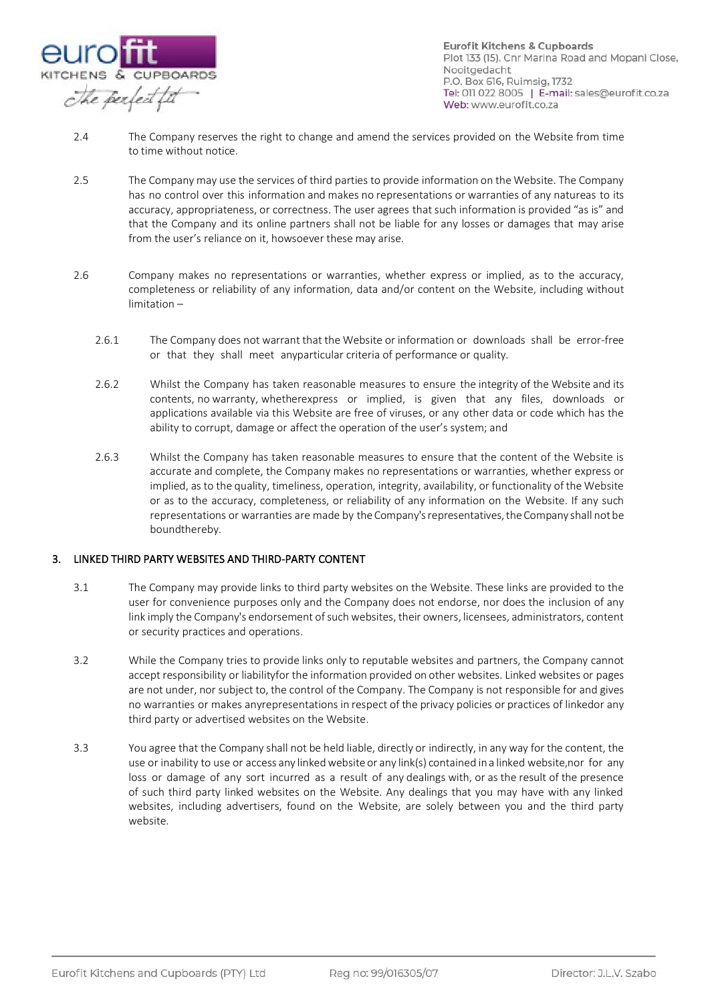

- 2.4 The Company reserves the right to change and amend the services provided on the Website from time to time without notice.
- 2.5 The Company may use the services of third parties to provide information on the Website. The Company has no control over this information and makes no representations or warranties of any natureas to its accuracy, appropriateness, or correctness. The user agrees that such information is provided "as is" and that the Company and its online partners shall not be liable for any losses or damages that may arise from the user's reliance on it, howsoever these may arise.
- 2.6 Company makes no representations or warranties, whether express or implied, as to the accuracy, completeness or reliability of any information, data and/or content on the Website, including without limitation –
	- 2.6.1 The Company does not warrant that the Website or information or downloads shall be error-free or that they shall meet anyparticular criteria of performance or quality.
	- 2.6.2 Whilst the Company has taken reasonable measures to ensure the integrity of the Website and its contents, no warranty, whetherexpress or implied, is given that any files, downloads or applications available via this Website are free of viruses, or any other data or code which has the ability to corrupt, damage or affect the operation of the user's system; and
	- 2.6.3 Whilst the Company has taken reasonable measures to ensure that the content of the Website is accurate and complete, the Company makes no representations or warranties, whether express or implied, as to the quality, timeliness, operation, integrity, availability, or functionality of the Website or as to the accuracy, completeness, or reliability of any information on the Website. If any such representations or warranties are made by the Company's representatives, the Company shall not be boundthereby.

### 3. LINKED THIRD PARTY WEBSITES AND THIRD-PARTY CONTENT

- 3.1 The Company may provide links to third party websites on the Website. These links are provided to the user for convenience purposes only and the Company does not endorse, nor does the inclusion of any link imply the Company's endorsement of such websites, their owners, licensees, administrators, content or security practices and operations.
- 3.2 While the Company tries to provide links only to reputable websites and partners, the Company cannot accept responsibility or liabilityfor the information provided on other websites. Linked websites or pages are not under, nor subject to, the control of the Company. The Company is not responsible for and gives no warranties or makes anyrepresentations in respect of the privacy policies or practices of linkedor any third party or advertised websites on the Website.
- 3.3 You agree that the Company shall not be held liable, directly or indirectly, in any way for the content, the use or inability to use or access any linked website or any link(s) contained in a linked website,nor for any loss or damage of any sort incurred as a result of any dealings with, or as the result of the presence of such third party linked websites on the Website. Any dealings that you may have with any linked websites, including advertisers, found on the Website, are solely between you and the third party website.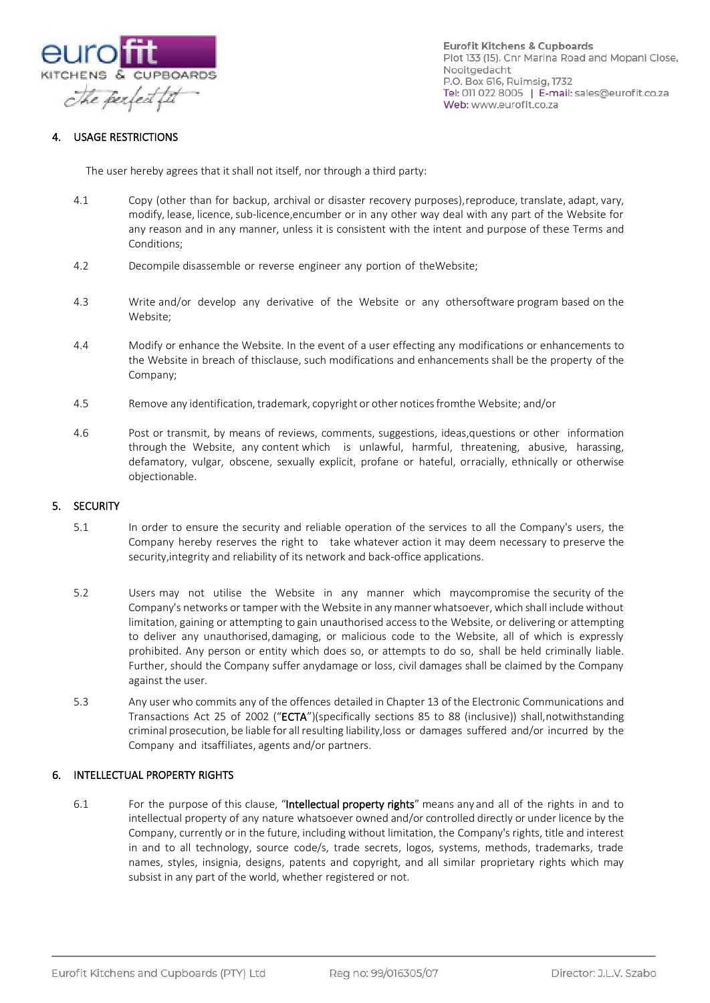

## 4. USAGE RESTRICTIONS

The user hereby agrees that it shall not itself, nor through a third party:

- 4.1 Copy (other than for backup, archival or disaster recovery purposes),reproduce, translate, adapt, vary, modify, lease, licence, sub-licence, encumber or in any other way deal with any part of the Website for any reason and in any manner, unless it is consistent with the intent and purpose of these Terms and Conditions;
- 4.2 Decompile disassemble or reverse engineer any portion of theWebsite;
- 4.3 Write and/or develop any derivative of the Website or any othersoftware program based on the Website;
- 4.4 Modify or enhance the Website. In the event of a user effecting any modifications or enhancements to the Website in breach of thisclause, such modifications and enhancements shall be the property of the Company;
- 4.5 Remove any identification, trademark, copyright or other noticesfromthe Website; and/or
- 4.6 Post or transmit, by means of reviews, comments, suggestions, ideas,questions or other information through the Website, any content which is unlawful, harmful, threatening, abusive, harassing, defamatory, vulgar, obscene, sexually explicit, profane or hateful, orracially, ethnically or otherwise objectionable.

#### 5. SECURITY

- 5.1 In order to ensure the security and reliable operation of the services to all the Company's users, the Company hereby reserves the right to take whatever action it may deem necessary to preserve the security,integrity and reliability of its network and back-office applications.
- 5.2 Users may not utilise the Website in any manner which maycompromise the security of the Company's networks or tamper with the Website in any manner whatsoever, which shall include without limitation, gaining or attempting to gain unauthorised access to the Website, or delivering or attempting to deliver any unauthorised,damaging, or malicious code to the Website, all of which is expressly prohibited. Any person or entity which does so, or attempts to do so, shall be held criminally liable. Further, should the Company suffer anydamage or loss, civil damages shall be claimed by the Company against the user.
- 5.3 Any user who commits any of the offences detailed in Chapter 13 of the Electronic Communications and Transactions Act 25 of 2002 ("ECTA")(specifically sections 85 to 88 (inclusive)) shall,notwithstanding criminal prosecution, be liable for all resulting liability,loss or damages suffered and/or incurred by the Company and itsaffiliates, agents and/or partners.

## 6. INTELLECTUAL PROPERTY RIGHTS

6.1 For the purpose of this clause, "Intellectual property rights" means any and all of the rights in and to intellectual property of any nature whatsoever owned and/or controlled directly or under licence by the Company, currently or in the future, including without limitation, the Company's rights, title and interest in and to all technology, source code/s, trade secrets, logos, systems, methods, trademarks, trade names, styles, insignia, designs, patents and copyright, and all similar proprietary rights which may subsist in any part of the world, whether registered or not.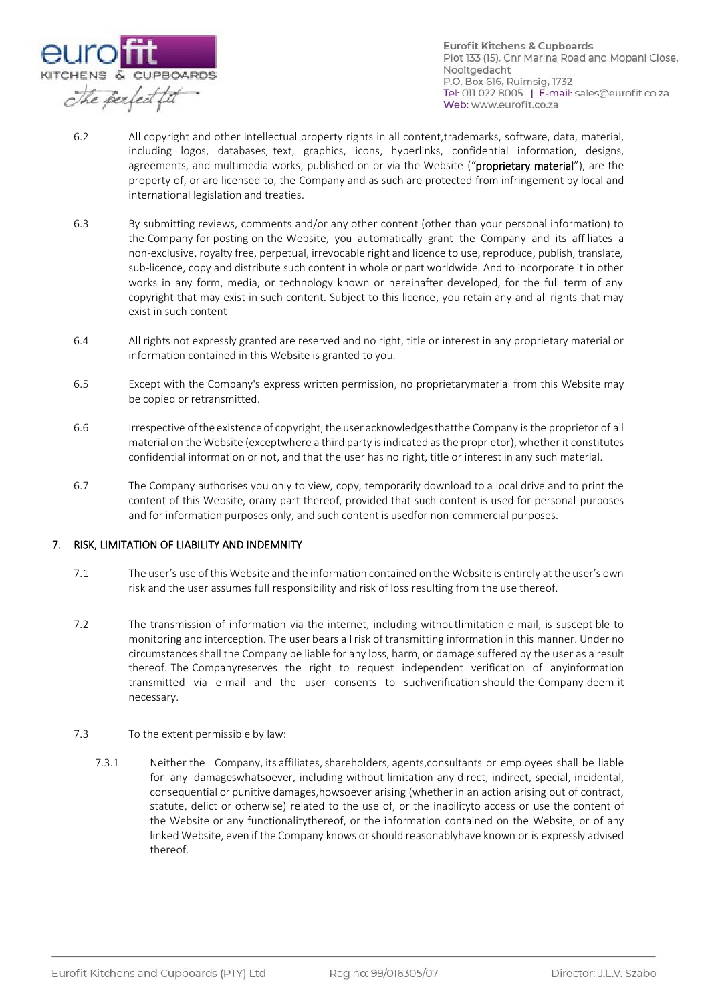

- 6.2 All copyright and other intellectual property rights in all content,trademarks, software, data, material, including logos, databases, text, graphics, icons, hyperlinks, confidential information, designs, agreements, and multimedia works, published on or via the Website ("proprietary material"), are the property of, or are licensed to, the Company and as such are protected from infringement by local and international legislation and treaties.
- 6.3 By submitting reviews, comments and/or any other content (other than your personal information) to the Company for posting on the Website, you automatically grant the Company and its affiliates a non-exclusive, royalty free, perpetual, irrevocable right and licence to use, reproduce, publish, translate, sub-licence, copy and distribute such content in whole or part worldwide. And to incorporate it in other works in any form, media, or technology known or hereinafter developed, for the full term of any copyright that may exist in such content. Subject to this licence, you retain any and all rights that may exist in such content
- 6.4 All rights not expressly granted are reserved and no right, title or interest in any proprietary material or information contained in this Website is granted to you.
- 6.5 Except with the Company's express written permission, no proprietarymaterial from this Website may be copied or retransmitted.
- 6.6 Irrespective of the existence of copyright, the user acknowledges that the Company is the proprietor of all material on the Website (exceptwhere a third party isindicated asthe proprietor), whether it constitutes confidential information or not, and that the user has no right, title or interest in any such material.
- 6.7 The Company authorises you only to view, copy, temporarily download to a local drive and to print the content of this Website, orany part thereof, provided that such content is used for personal purposes and for information purposes only, and such content is usedfor non-commercial purposes.

## 7. RISK, LIMITATION OF LIABILITY AND INDEMNITY

- 7.1 The user's use of this Website and the information contained on the Website is entirely at the user's own risk and the user assumes full responsibility and risk of loss resulting from the use thereof.
- 7.2 The transmission of information via the internet, including withoutlimitation e-mail, is susceptible to monitoring and interception. The user bears all risk of transmitting information in this manner. Under no circumstances shall the Company be liable for any loss, harm, or damage suffered by the user as a result thereof. The Companyreserves the right to request independent verification of anyinformation transmitted via e-mail and the user consents to suchverification should the Company deem it necessary.

#### 7.3 To the extent permissible by law:

7.3.1 Neither the Company, its affiliates, shareholders, agents,consultants or employees shall be liable for any damageswhatsoever, including without limitation any direct, indirect, special, incidental, consequential or punitive damages,howsoever arising (whether in an action arising out of contract, statute, delict or otherwise) related to the use of, or the inabilityto access or use the content of the Website or any functionalitythereof, or the information contained on the Website, or of any linked Website, even if the Company knows orshould reasonablyhave known or is expressly advised thereof.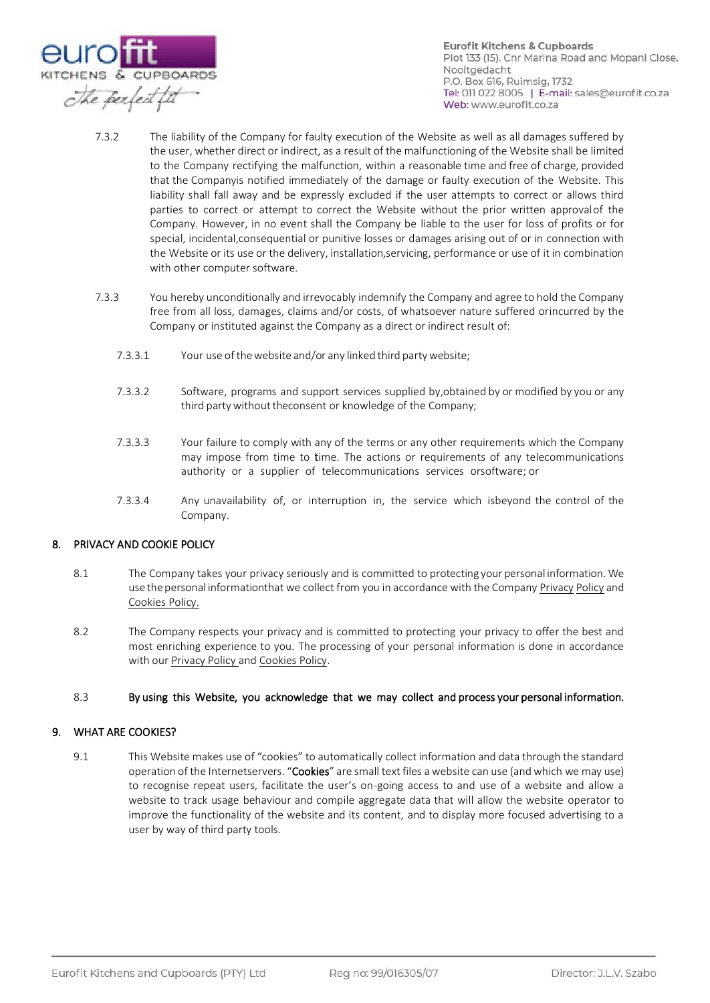

- 7.3.2 The liability of the Company for faulty execution of the Website as well as all damages suffered by the user, whether direct or indirect, as a result of the malfunctioning of the Website shall be limited to the Company rectifying the malfunction, within a reasonable time and free of charge, provided that the Companyis notified immediately of the damage or faulty execution of the Website. This liability shall fall away and be expressly excluded if the user attempts to correct or allows third parties to correct or attempt to correct the Website without the prior written approvalof the Company. However, in no event shall the Company be liable to the user for loss of profits or for special, incidental,consequential or punitive losses or damages arising out of or in connection with the Website or its use or the delivery, installation,servicing, performance or use of it in combination with other computer software.
- 7.3.3 You hereby unconditionally and irrevocably indemnify the Company and agree to hold the Company free from all loss, damages, claims and/or costs, of whatsoever nature suffered orincurred by the Company or instituted against the Company as a direct or indirect result of:
	- 7.3.3.1 Your use of thewebsite and/or any linked third partywebsite;
	- 7.3.3.2 Software, programs and support services supplied by,obtained by or modified by you or any third party without theconsent or knowledge of the Company;
	- 7.3.3.3 Your failure to comply with any of the terms or any other requirements which the Company may impose from time to time. The actions or requirements of any telecommunications authority or a supplier of telecommunications services orsoftware; or
	- 7.3.3.4 Any unavailability of, or interruption in, the service which isbeyond the control of the Company.

## 8. PRIVACY AND COOKIE POLICY

- 8.1 The Company takes your privacy seriously and is committed to protecting your personal information. We use the personal informationthat we collect from you in accordance with the Company Privacy Policy and Cookies Policy.
- 8.2 The Company respects your privacy and is committed to protecting your privacy to offer the best and most enriching experience to you. The processing of your personal information is done in accordance with our **Privacy Policy** and **Cookies Policy**.

#### 8.3 By using this Website, you acknowledge that we may collect and process your personal information.

#### 9. WHAT ARE COOKIES?

9.1 This Website makes use of "cookies" to automatically collect information and data through the standard operation of the Internetservers. "Cookies" are small text files a website can use (and which we may use) to recognise repeat users, facilitate the user's on-going access to and use of a website and allow a website to track usage behaviour and compile aggregate data that will allow the website operator to improve the functionality of the website and its content, and to display more focused advertising to a user by way of third party tools.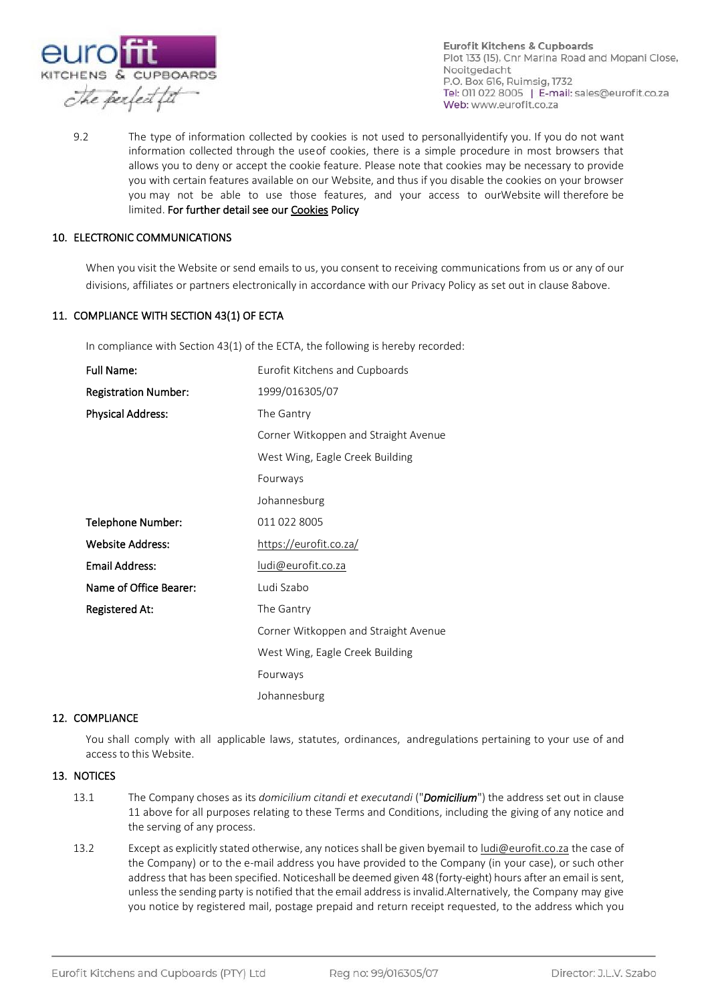

9.2 The type of information collected by cookies is not used to personallyidentify you. If you do not want information collected through the use of cookies, there is a simple procedure in most browsers that allows you to deny or accept the cookie feature. Please note that cookies may be necessary to provide you with certain features available on our Website, and thus if you disable the cookies on your browser you may not be able to use those features, and your access to ourWebsite will therefore be limited. For further detail see our Cookies Policy

#### 10. ELECTRONIC COMMUNICATIONS

When you visit the Website or send emails to us, you consent to receiving communications from us or any of our divisions, affiliates or partners electronically in accordance with our Privacy Policy as set out in clause 8above.

#### 11. COMPLIANCE WITH SECTION 43(1) OF ECTA

In compliance with Section 43(1) of the ECTA, the following is hereby recorded:

| <b>Full Name:</b>           | Eurofit Kitchens and Cupboards       |
|-----------------------------|--------------------------------------|
| <b>Registration Number:</b> | 1999/016305/07                       |
| <b>Physical Address:</b>    | The Gantry                           |
|                             | Corner Witkoppen and Straight Avenue |
|                             | West Wing, Eagle Creek Building      |
|                             | Fourways                             |
|                             | Johannesburg                         |
| Telephone Number:           | 011 022 8005                         |
| <b>Website Address:</b>     | https://eurofit.co.za/               |
| <b>Email Address:</b>       | ludi@eurofit.co.za                   |
| Name of Office Bearer:      | Ludi Szabo                           |
| <b>Registered At:</b>       | The Gantry                           |
|                             | Corner Witkoppen and Straight Avenue |
|                             | West Wing, Eagle Creek Building      |
|                             | Fourways                             |
|                             | Johannesburg                         |

#### 12. COMPLIANCE

You shall comply with all applicable laws, statutes, ordinances, andregulations pertaining to your use of and access to this Website.

#### 13. NOTICES

- 13.1 The Company choses as its *domicilium citandi et executandi* ("*Domicilium*") the address set out in clause 11 above for all purposes relating to these Terms and Conditions, including the giving of any notice and the serving of any process.
- 13.2 Except as explicitly stated otherwise, any notices shall be given byemail t[o ludi@eurofit.co.za](mailto:ludi@eurofit.co.za) the case of the Company) or to the e-mail address you have provided to the Company (in your case), or such other address that has been specified. Noticeshall be deemed given 48 (forty-eight) hours after an email is sent, unlessthe sending party is notified that the email address isinvalid.Alternatively, the Company may give you notice by registered mail, postage prepaid and return receipt requested, to the address which you